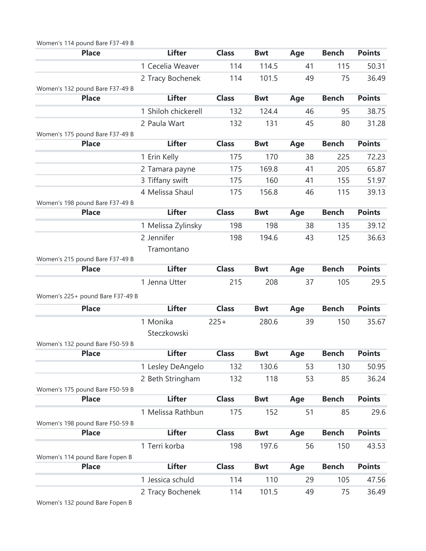| Women's 114 pound Bare F37-49 B                 |                     |              |            |     |              |               |
|-------------------------------------------------|---------------------|--------------|------------|-----|--------------|---------------|
| <b>Place</b>                                    | <b>Lifter</b>       | <b>Class</b> | <b>Bwt</b> | Age | <b>Bench</b> | <b>Points</b> |
|                                                 | 1 Cecelia Weaver    | 114          | 114.5      | 41  | 115          | 50.31         |
|                                                 | 2 Tracy Bochenek    | 114          | 101.5      | 49  | 75           | 36.49         |
| Women's 132 pound Bare F37-49 B                 |                     |              |            |     |              |               |
| <b>Place</b>                                    | <b>Lifter</b>       | <b>Class</b> | <b>Bwt</b> | Age | <b>Bench</b> | <b>Points</b> |
|                                                 | 1 Shiloh chickerell | 132          | 124.4      | 46  | 95           | 38.75         |
|                                                 | 2 Paula Wart        | 132          | 131        | 45  | 80           | 31.28         |
| Women's 175 pound Bare F37-49 B                 |                     |              |            |     |              |               |
| <b>Place</b>                                    | <b>Lifter</b>       | <b>Class</b> | <b>Bwt</b> | Age | <b>Bench</b> | <b>Points</b> |
|                                                 | 1 Erin Kelly        | 175          | 170        | 38  | 225          | 72.23         |
|                                                 | 2 Tamara payne      | 175          | 169.8      | 41  | 205          | 65.87         |
|                                                 | 3 Tiffany swift     | 175          | 160        | 41  | 155          | 51.97         |
|                                                 | 4 Melissa Shaul     | 175          | 156.8      | 46  | 115          | 39.13         |
| Women's 198 pound Bare F37-49 B                 |                     |              |            |     |              |               |
| <b>Place</b>                                    | <b>Lifter</b>       | <b>Class</b> | <b>Bwt</b> | Age | <b>Bench</b> | <b>Points</b> |
|                                                 | 1 Melissa Zylinsky  | 198          | 198        | 38  | 135          | 39.12         |
|                                                 | 2 Jennifer          | 198          | 194.6      | 43  | 125          | 36.63         |
|                                                 | Tramontano          |              |            |     |              |               |
| Women's 215 pound Bare F37-49 B                 |                     |              |            |     |              |               |
| <b>Place</b>                                    | <b>Lifter</b>       | <b>Class</b> | <b>Bwt</b> | Age | <b>Bench</b> | <b>Points</b> |
|                                                 | 1 Jenna Utter       | 215          | 208        | 37  | 105          | 29.5          |
| Women's 225+ pound Bare F37-49 B                |                     |              |            |     |              |               |
| <b>Place</b>                                    | <b>Lifter</b>       | <b>Class</b> | <b>Bwt</b> | Age | <b>Bench</b> | <b>Points</b> |
|                                                 | 1 Monika            | $225+$       | 280.6      | 39  | 150          | 35.67         |
|                                                 | Steczkowski         |              |            |     |              |               |
| Women's 132 pound Bare F50-59 B                 |                     |              |            |     |              |               |
| <b>Place</b>                                    | <b>Lifter</b>       | <b>Class</b> | <b>Bwt</b> | Age | <b>Bench</b> | <b>Points</b> |
|                                                 | 1 Lesley DeAngelo   | 132          | 130.6      | 53  | 130          | 50.95         |
|                                                 |                     |              |            |     |              |               |
|                                                 | 2 Beth Stringham    | 132          | 118        | 53  | 85           | 36.24         |
| Women's 175 pound Bare F50-59 B<br><b>Place</b> | <b>Lifter</b>       | <b>Class</b> | <b>Bwt</b> | Age | <b>Bench</b> | <b>Points</b> |
|                                                 | 1 Melissa Rathbun   |              |            |     |              |               |
|                                                 |                     | 175          | 152        | 51  | 85           | 29.6          |
| Women's 198 pound Bare F50-59 B<br><b>Place</b> | <b>Lifter</b>       | <b>Class</b> | <b>Bwt</b> | Age | <b>Bench</b> | <b>Points</b> |
|                                                 |                     |              |            |     |              |               |
|                                                 | 1 Terri korba       | 198          | 197.6      | 56  | 150          | 43.53         |
| Women's 114 pound Bare Fopen B<br><b>Place</b>  | <b>Lifter</b>       | <b>Class</b> | <b>Bwt</b> | Age | <b>Bench</b> | <b>Points</b> |
|                                                 |                     |              |            |     |              |               |
|                                                 | 1 Jessica schuld    | 114          | 110        | 29  | 105          | 47.56         |
|                                                 | 2 Tracy Bochenek    | 114          | 101.5      | 49  | 75           | 36.49         |
| Women's 132 pound Bare Fopen B                  |                     |              |            |     |              |               |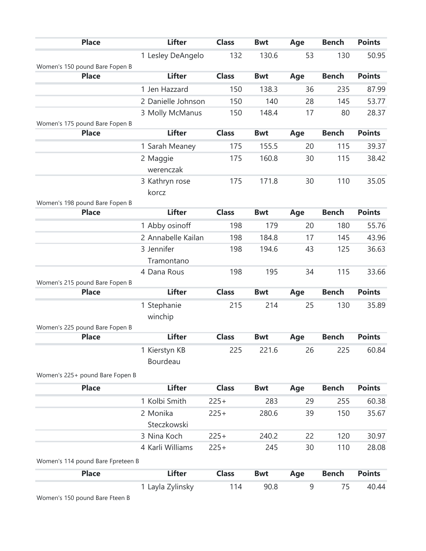| <b>Place</b>                      | <b>Lifter</b>      | <b>Class</b> | <b>Bwt</b> | Age | <b>Bench</b> | <b>Points</b> |
|-----------------------------------|--------------------|--------------|------------|-----|--------------|---------------|
|                                   | 1 Lesley DeAngelo  | 132          | 130.6      | 53  | 130          | 50.95         |
| Women's 150 pound Bare Fopen B    |                    |              |            |     |              |               |
| <b>Place</b>                      | <b>Lifter</b>      | <b>Class</b> | <b>Bwt</b> | Age | <b>Bench</b> | <b>Points</b> |
|                                   | 1 Jen Hazzard      | 150          | 138.3      | 36  | 235          | 87.99         |
|                                   | 2 Danielle Johnson | 150          | 140        | 28  | 145          | 53.77         |
|                                   | 3 Molly McManus    | 150          | 148.4      | 17  | 80           | 28.37         |
| Women's 175 pound Bare Fopen B    |                    |              |            |     |              |               |
| <b>Place</b>                      | <b>Lifter</b>      | <b>Class</b> | <b>Bwt</b> | Age | <b>Bench</b> | <b>Points</b> |
|                                   | 1 Sarah Meaney     | 175          | 155.5      | 20  | 115          | 39.37         |
|                                   | 2 Maggie           | 175          | 160.8      | 30  | 115          | 38.42         |
|                                   | werenczak          |              |            |     |              |               |
|                                   | 3 Kathryn rose     | 175          | 171.8      | 30  | 110          | 35.05         |
|                                   | korcz              |              |            |     |              |               |
| Women's 198 pound Bare Fopen B    |                    |              |            |     |              |               |
| <b>Place</b>                      | <b>Lifter</b>      | <b>Class</b> | <b>Bwt</b> | Age | <b>Bench</b> | <b>Points</b> |
|                                   | 1 Abby osinoff     | 198          | 179        | 20  | 180          | 55.76         |
|                                   | 2 Annabelle Kailan | 198          | 184.8      | 17  | 145          | 43.96         |
|                                   | 3 Jennifer         | 198          | 194.6      | 43  | 125          | 36.63         |
|                                   | Tramontano         |              |            |     |              |               |
|                                   | 4 Dana Rous        | 198          | 195        | 34  | 115          | 33.66         |
| Women's 215 pound Bare Fopen B    |                    |              |            |     |              |               |
| <b>Place</b>                      | <b>Lifter</b>      | <b>Class</b> | <b>Bwt</b> | Age | <b>Bench</b> | <b>Points</b> |
|                                   | 1 Stephanie        | 215          | 214        | 25  | 130          | 35.89         |
|                                   | winchip            |              |            |     |              |               |
| Women's 225 pound Bare Fopen B    |                    |              |            |     |              |               |
| <b>Place</b>                      | <b>Lifter</b>      | <b>Class</b> | <b>Bwt</b> | Age | <b>Bench</b> | <b>Points</b> |
|                                   | 1 Kierstyn KB      | 225          | 221.6      | 26  | 225          | 60.84         |
|                                   | Bourdeau           |              |            |     |              |               |
| Women's 225+ pound Bare Fopen B   |                    |              |            |     |              |               |
| <b>Place</b>                      | <b>Lifter</b>      | <b>Class</b> | <b>Bwt</b> | Age | <b>Bench</b> | <b>Points</b> |
|                                   | 1 Kolbi Smith      | $225+$       | 283        | 29  | 255          | 60.38         |
|                                   | 2 Monika           | $225+$       | 280.6      | 39  | 150          | 35.67         |
|                                   | Steczkowski        |              |            |     |              |               |
|                                   | 3 Nina Koch        | $225+$       | 240.2      | 22  | 120          | 30.97         |
|                                   | 4 Karli Williams   | $225+$       | 245        | 30  | 110          | 28.08         |
|                                   |                    |              |            |     |              |               |
| Women's 114 pound Bare Fpreteen B |                    |              |            |     |              |               |
| <b>Place</b>                      | <b>Lifter</b>      | <b>Class</b> | <b>Bwt</b> | Age | <b>Bench</b> | <b>Points</b> |
|                                   | 1 Layla Zylinsky   | 114          | 90.8       | 9   | 75           | 40.44         |
| Women's 150 pound Bare Fteen B    |                    |              |            |     |              |               |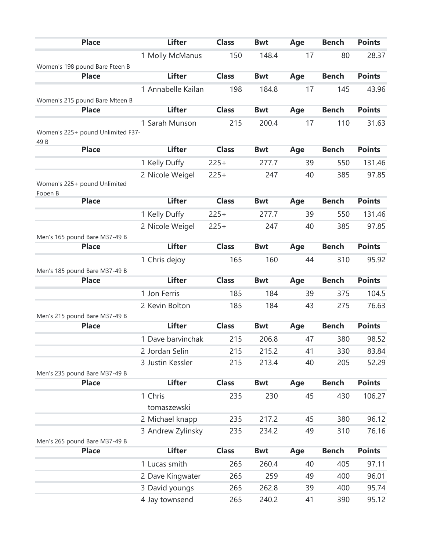|         | <b>Place</b>                      |         | <b>Lifter</b>      | <b>Class</b> | <b>Bwt</b> | Age | <b>Bench</b> | <b>Points</b> |
|---------|-----------------------------------|---------|--------------------|--------------|------------|-----|--------------|---------------|
|         |                                   |         | 1 Molly McManus    | 150          | 148.4      | 17  | 80           | 28.37         |
|         | Women's 198 pound Bare Fteen B    |         |                    |              |            |     |              |               |
|         | <b>Place</b>                      |         | <b>Lifter</b>      | <b>Class</b> | <b>Bwt</b> | Age | <b>Bench</b> | <b>Points</b> |
|         |                                   |         | 1 Annabelle Kailan | 198          | 184.8      | 17  | 145          | 43.96         |
|         | Women's 215 pound Bare Mteen B    |         |                    |              |            |     |              |               |
|         | <b>Place</b>                      |         | <b>Lifter</b>      | <b>Class</b> | <b>Bwt</b> | Age | <b>Bench</b> | <b>Points</b> |
|         |                                   |         | 1 Sarah Munson     | 215          | 200.4      | 17  | 110          | 31.63         |
|         | Women's 225+ pound Unlimited F37- |         |                    |              |            |     |              |               |
| 49 B    | <b>Place</b>                      |         | <b>Lifter</b>      | <b>Class</b> | <b>Bwt</b> | Age | <b>Bench</b> | <b>Points</b> |
|         |                                   |         | 1 Kelly Duffy      | $225+$       | 277.7      | 39  | 550          | 131.46        |
|         |                                   |         | 2 Nicole Weigel    | $225+$       | 247        | 40  | 385          | 97.85         |
|         | Women's 225+ pound Unlimited      |         |                    |              |            |     |              |               |
| Fopen B | <b>Place</b>                      |         | <b>Lifter</b>      | <b>Class</b> | <b>Bwt</b> | Age | <b>Bench</b> | <b>Points</b> |
|         |                                   |         | 1 Kelly Duffy      | $225+$       | 277.7      | 39  | 550          | 131.46        |
|         |                                   |         | 2 Nicole Weigel    | $225+$       | 247        | 40  | 385          | 97.85         |
|         | Men's 165 pound Bare M37-49 B     |         |                    |              |            |     |              |               |
|         | <b>Place</b>                      |         | <b>Lifter</b>      | <b>Class</b> | <b>Bwt</b> | Age | <b>Bench</b> | <b>Points</b> |
|         |                                   |         | 1 Chris dejoy      | 165          | 160        | 44  | 310          | 95.92         |
|         | Men's 185 pound Bare M37-49 B     |         |                    |              |            |     |              |               |
|         | <b>Place</b>                      |         | <b>Lifter</b>      | <b>Class</b> | <b>Bwt</b> | Age | <b>Bench</b> | <b>Points</b> |
|         |                                   |         | 1 Jon Ferris       | 185          | 184        | 39  | 375          | 104.5         |
|         |                                   |         | 2 Kevin Bolton     | 185          | 184        | 43  | 275          | 76.63         |
|         | Men's 215 pound Bare M37-49 B     |         |                    |              |            |     |              |               |
|         | <b>Place</b>                      |         | <b>Lifter</b>      | <b>Class</b> | <b>Bwt</b> | Age | <b>Bench</b> | <b>Points</b> |
|         |                                   |         | 1 Dave barvinchak  | 215          | 206.8      | 47  | 380          | 98.52         |
|         |                                   |         | 2 Jordan Selin     | 215          | 215.2      | 41  | 330          | 83.84         |
|         |                                   |         | 3 Justin Kessler   | 215          | 213.4      | 40  | 205          | 52.29         |
|         | Men's 235 pound Bare M37-49 B     |         |                    |              |            |     |              |               |
|         | <b>Place</b>                      |         | <b>Lifter</b>      | <b>Class</b> | <b>Bwt</b> | Age | <b>Bench</b> | <b>Points</b> |
|         |                                   | 1 Chris |                    | 235          | 230        | 45  | 430          | 106.27        |
|         |                                   |         | tomaszewski        |              |            |     |              |               |
|         |                                   |         | 2 Michael knapp    | 235          | 217.2      | 45  | 380          | 96.12         |
|         |                                   |         | 3 Andrew Zylinsky  | 235          | 234.2      | 49  | 310          | 76.16         |
|         | Men's 265 pound Bare M37-49 B     |         |                    |              |            |     |              |               |
|         | <b>Place</b>                      |         | <b>Lifter</b>      | <b>Class</b> | <b>Bwt</b> | Age | <b>Bench</b> | <b>Points</b> |
|         |                                   |         | 1 Lucas smith      | 265          | 260.4      | 40  | 405          | 97.11         |
|         |                                   |         | 2 Dave Kingwater   | 265          | 259        | 49  | 400          | 96.01         |
|         |                                   |         | 3 David youngs     | 265          | 262.8      | 39  | 400          | 95.74         |
|         |                                   |         | 4 Jay townsend     | 265          | 240.2      | 41  | 390          | 95.12         |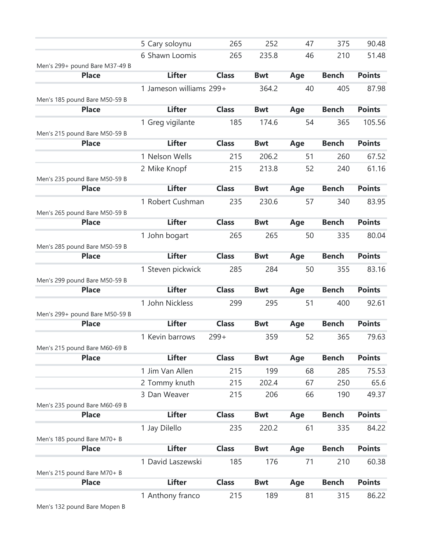|                                               | 5 Cary soloynu          | 265          | 252        | 47  | 375          | 90.48         |
|-----------------------------------------------|-------------------------|--------------|------------|-----|--------------|---------------|
|                                               | 6 Shawn Loomis          | 265          | 235.8      | 46  | 210          | 51.48         |
| Men's 299+ pound Bare M37-49 B                |                         |              |            |     |              |               |
| <b>Place</b>                                  | <b>Lifter</b>           | <b>Class</b> | <b>Bwt</b> | Age | <b>Bench</b> | <b>Points</b> |
|                                               | 1 Jameson williams 299+ |              | 364.2      | 40  | 405          | 87.98         |
| Men's 185 pound Bare M50-59 B                 |                         |              |            |     |              |               |
| <b>Place</b>                                  | <b>Lifter</b>           | <b>Class</b> | <b>Bwt</b> | Age | <b>Bench</b> | <b>Points</b> |
|                                               | 1 Greg vigilante        | 185          | 174.6      | 54  | 365          | 105.56        |
| Men's 215 pound Bare M50-59 B<br><b>Place</b> | <b>Lifter</b>           | <b>Class</b> | <b>Bwt</b> | Age | <b>Bench</b> | <b>Points</b> |
|                                               | 1 Nelson Wells          | 215          | 206.2      | 51  | 260          | 67.52         |
|                                               | 2 Mike Knopf            | 215          | 213.8      | 52  | 240          | 61.16         |
| Men's 235 pound Bare M50-59 B                 |                         |              |            |     |              |               |
| <b>Place</b>                                  | <b>Lifter</b>           | <b>Class</b> | <b>Bwt</b> | Age | <b>Bench</b> | <b>Points</b> |
|                                               | 1 Robert Cushman        | 235          | 230.6      | 57  | 340          | 83.95         |
| Men's 265 pound Bare M50-59 B                 |                         |              |            |     |              |               |
| <b>Place</b>                                  | <b>Lifter</b>           | <b>Class</b> | <b>Bwt</b> | Age | <b>Bench</b> | <b>Points</b> |
|                                               | 1 John bogart           | 265          | 265        | 50  | 335          | 80.04         |
| Men's 285 pound Bare M50-59 B                 |                         |              |            |     |              |               |
| <b>Place</b>                                  | <b>Lifter</b>           | <b>Class</b> | <b>Bwt</b> | Age | <b>Bench</b> | <b>Points</b> |
|                                               | 1 Steven pickwick       | 285          | 284        | 50  | 355          | 83.16         |
| Men's 299 pound Bare M50-59 B                 |                         |              |            |     |              |               |
| <b>Place</b>                                  | <b>Lifter</b>           | <b>Class</b> | <b>Bwt</b> | Age | <b>Bench</b> | <b>Points</b> |
|                                               | 1 John Nickless         | 299          | 295        | 51  | 400          | 92.61         |
| Men's 299+ pound Bare M50-59 B                |                         |              |            |     |              |               |
| <b>Place</b>                                  | <b>Lifter</b>           | <b>Class</b> | <b>Bwt</b> | Age | <b>Bench</b> | <b>Points</b> |
|                                               | 1 Kevin barrows         | $299+$       | 359        | 52  | 365          | 79.63         |
| Men's 215 pound Bare M60-69 B                 |                         |              |            |     |              |               |
| <b>Place</b>                                  | <b>Lifter</b>           | <b>Class</b> | <b>Bwt</b> | Age | <b>Bench</b> | <b>Points</b> |
|                                               | 1 Jim Van Allen         | 215          | 199        | 68  | 285          | 75.53         |
|                                               | 2 Tommy knuth           | 215          | 202.4      | 67  | 250          | 65.6          |
|                                               | 3 Dan Weaver            | 215          | 206        | 66  | 190          | 49.37         |
| Men's 235 pound Bare M60-69 B                 |                         |              |            |     |              |               |
| <b>Place</b>                                  | <b>Lifter</b>           | <b>Class</b> | <b>Bwt</b> | Age | <b>Bench</b> | <b>Points</b> |
|                                               | 1 Jay Dilello           | 235          | 220.2      | 61  | 335          | 84.22         |
| Men's 185 pound Bare M70+ B                   |                         |              |            |     |              |               |
| <b>Place</b>                                  | <b>Lifter</b>           | <b>Class</b> | <b>Bwt</b> | Age | <b>Bench</b> | <b>Points</b> |
|                                               | 1 David Laszewski       | 185          | 176        | 71  | 210          | 60.38         |
| Men's 215 pound Bare M70+ B                   |                         |              |            |     |              |               |
| <b>Place</b>                                  | <b>Lifter</b>           | <b>Class</b> | <b>Bwt</b> | Age | <b>Bench</b> | <b>Points</b> |
|                                               | 1 Anthony franco        | 215          | 189        | 81  | 315          | 86.22         |
| Men's 132 pound Bare Mopen B                  |                         |              |            |     |              |               |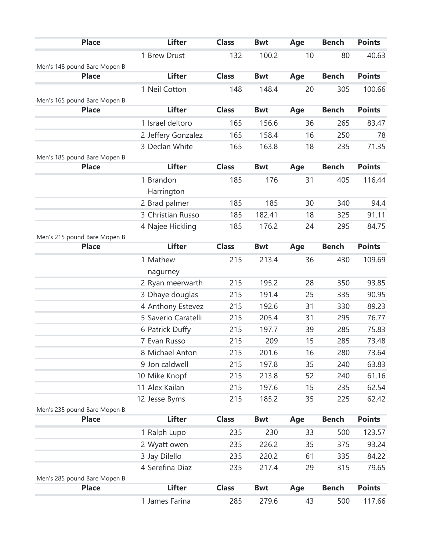| <b>Place</b>                 | <b>Lifter</b>       | <b>Class</b> | <b>Bwt</b> | Age | <b>Bench</b> | <b>Points</b> |
|------------------------------|---------------------|--------------|------------|-----|--------------|---------------|
|                              | 1 Brew Drust        | 132          | 100.2      | 10  | 80           | 40.63         |
| Men's 148 pound Bare Mopen B |                     |              |            |     |              |               |
| <b>Place</b>                 | <b>Lifter</b>       | <b>Class</b> | <b>Bwt</b> | Age | <b>Bench</b> | <b>Points</b> |
|                              | 1 Neil Cotton       | 148          | 148.4      | 20  | 305          | 100.66        |
| Men's 165 pound Bare Mopen B |                     |              |            |     |              |               |
| <b>Place</b>                 | <b>Lifter</b>       | <b>Class</b> | <b>Bwt</b> | Age | <b>Bench</b> | <b>Points</b> |
|                              | 1 Israel deltoro    | 165          | 156.6      | 36  | 265          | 83.47         |
|                              | 2 Jeffery Gonzalez  | 165          | 158.4      | 16  | 250          | 78            |
|                              | 3 Declan White      | 165          | 163.8      | 18  | 235          | 71.35         |
| Men's 185 pound Bare Mopen B |                     |              |            |     |              |               |
| <b>Place</b>                 | <b>Lifter</b>       | <b>Class</b> | <b>Bwt</b> | Age | <b>Bench</b> | <b>Points</b> |
|                              | 1 Brandon           | 185          | 176        | 31  | 405          | 116.44        |
|                              | Harrington          |              |            |     |              |               |
|                              | 2 Brad palmer       | 185          | 185        | 30  | 340          | 94.4          |
|                              | 3 Christian Russo   | 185          | 182.41     | 18  | 325          | 91.11         |
|                              | 4 Najee Hickling    | 185          | 176.2      | 24  | 295          | 84.75         |
| Men's 215 pound Bare Mopen B |                     |              |            |     |              |               |
| <b>Place</b>                 | <b>Lifter</b>       | <b>Class</b> | <b>Bwt</b> | Age | <b>Bench</b> | <b>Points</b> |
|                              | 1 Mathew            | 215          | 213.4      | 36  | 430          | 109.69        |
|                              | nagurney            |              |            |     |              |               |
|                              | 2 Ryan meerwarth    | 215          | 195.2      | 28  | 350          | 93.85         |
|                              | 3 Dhaye douglas     | 215          | 191.4      | 25  | 335          | 90.95         |
|                              | 4 Anthony Estevez   | 215          | 192.6      | 31  | 330          | 89.23         |
|                              | 5 Saverio Caratelli | 215          | 205.4      | 31  | 295          | 76.77         |
|                              | 6 Patrick Duffy     | 215          | 197.7      | 39  | 285          | 75.83         |
|                              | 7 Evan Russo        | 215          | 209        | 15  | 285          | 73.48         |
|                              | 8 Michael Anton     | 215          | 201.6      | 16  | 280          | 73.64         |
|                              | 9 Jon caldwell      | 215          | 197.8      | 35  | 240          | 63.83         |
|                              | 10 Mike Knopf       | 215          | 213.8      | 52  | 240          | 61.16         |
|                              | 11 Alex Kailan      | 215          | 197.6      | 15  | 235          | 62.54         |
|                              | 12 Jesse Byms       | 215          | 185.2      | 35  | 225          | 62.42         |
| Men's 235 pound Bare Mopen B |                     |              |            |     |              |               |
| <b>Place</b>                 | <b>Lifter</b>       | <b>Class</b> | <b>Bwt</b> | Age | <b>Bench</b> | <b>Points</b> |
|                              | 1 Ralph Lupo        | 235          | 230        | 33  | 500          | 123.57        |
|                              | 2 Wyatt owen        | 235          | 226.2      | 35  | 375          | 93.24         |
|                              | 3 Jay Dilello       | 235          | 220.2      | 61  | 335          | 84.22         |
|                              | 4 Serefina Diaz     | 235          | 217.4      | 29  | 315          | 79.65         |
| Men's 285 pound Bare Mopen B |                     |              |            |     |              |               |
| <b>Place</b>                 | <b>Lifter</b>       | <b>Class</b> | <b>Bwt</b> | Age | <b>Bench</b> | <b>Points</b> |
|                              | 1 James Farina      | 285          | 279.6      | 43  | 500          | 117.66        |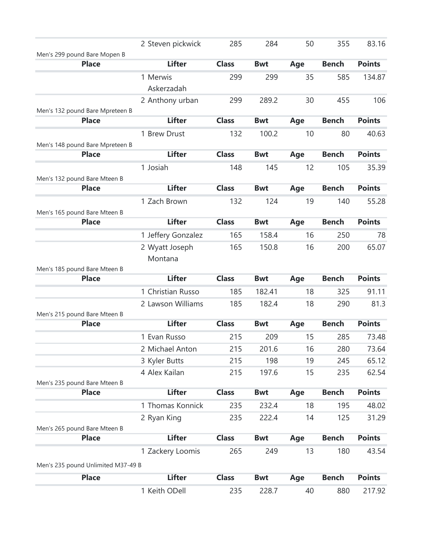|                                    | 2 Steven pickwick  | 285          | 284        | 50  | 355          | 83.16         |
|------------------------------------|--------------------|--------------|------------|-----|--------------|---------------|
| Men's 299 pound Bare Mopen B       |                    |              |            |     |              |               |
| <b>Place</b>                       | <b>Lifter</b>      | <b>Class</b> | <b>Bwt</b> | Age | <b>Bench</b> | <b>Points</b> |
|                                    | 1 Merwis           | 299          | 299        | 35  | 585          | 134.87        |
|                                    | Askerzadah         |              |            |     |              |               |
|                                    | 2 Anthony urban    | 299          | 289.2      | 30  | 455          | 106           |
| Men's 132 pound Bare Mpreteen B    |                    |              |            |     |              |               |
| <b>Place</b>                       | <b>Lifter</b>      | <b>Class</b> | <b>Bwt</b> | Age | <b>Bench</b> | <b>Points</b> |
|                                    | 1 Brew Drust       | 132          | 100.2      | 10  | 80           | 40.63         |
| Men's 148 pound Bare Mpreteen B    |                    |              |            |     |              |               |
| <b>Place</b>                       | <b>Lifter</b>      | <b>Class</b> | <b>Bwt</b> | Age | <b>Bench</b> | <b>Points</b> |
|                                    | 1 Josiah           | 148          | 145        | 12  | 105          | 35.39         |
| Men's 132 pound Bare Mteen B       |                    |              |            |     |              |               |
| <b>Place</b>                       | <b>Lifter</b>      | <b>Class</b> | <b>Bwt</b> | Age | <b>Bench</b> | <b>Points</b> |
|                                    | 1 Zach Brown       | 132          | 124        | 19  | 140          | 55.28         |
| Men's 165 pound Bare Mteen B       |                    |              |            |     |              |               |
| <b>Place</b>                       | <b>Lifter</b>      | <b>Class</b> | <b>Bwt</b> | Age | <b>Bench</b> | <b>Points</b> |
|                                    | 1 Jeffery Gonzalez | 165          | 158.4      | 16  | 250          | 78            |
|                                    | 2 Wyatt Joseph     | 165          | 150.8      | 16  | 200          | 65.07         |
|                                    | Montana            |              |            |     |              |               |
| Men's 185 pound Bare Mteen B       |                    |              |            |     |              |               |
| <b>Place</b>                       | <b>Lifter</b>      | <b>Class</b> | <b>Bwt</b> | Age | <b>Bench</b> | <b>Points</b> |
|                                    | 1 Christian Russo  | 185          | 182.41     | 18  | 325          | 91.11         |
|                                    | 2 Lawson Williams  | 185          | 182.4      | 18  | 290          | 81.3          |
| Men's 215 pound Bare Mteen B       |                    |              |            |     |              |               |
| <b>Place</b>                       | <b>Lifter</b>      | <b>Class</b> | <b>Bwt</b> | Age | <b>Bench</b> | <b>Points</b> |
|                                    | 1 Evan Russo       | 215          | 209        | 15  | 285          | 73.48         |
|                                    | 2 Michael Anton    | 215          | 201.6      | 16  | 280          | 73.64         |
|                                    | 3 Kyler Butts      | 215          | 198        | 19  | 245          | 65.12         |
|                                    | 4 Alex Kailan      | 215          | 197.6      | 15  | 235          | 62.54         |
| Men's 235 pound Bare Mteen B       |                    |              |            |     |              |               |
| <b>Place</b>                       | <b>Lifter</b>      | <b>Class</b> | <b>Bwt</b> | Age | <b>Bench</b> | <b>Points</b> |
|                                    | 1 Thomas Konnick   | 235          | 232.4      | 18  | 195          | 48.02         |
|                                    | 2 Ryan King        | 235          | 222.4      | 14  | 125          | 31.29         |
| Men's 265 pound Bare Mteen B       |                    |              |            |     |              |               |
| <b>Place</b>                       | <b>Lifter</b>      | <b>Class</b> | <b>Bwt</b> | Age | <b>Bench</b> | <b>Points</b> |
|                                    | 1 Zackery Loomis   | 265          | 249        | 13  | 180          | 43.54         |
| Men's 235 pound Unlimited M37-49 B |                    |              |            |     |              |               |
| <b>Place</b>                       | <b>Lifter</b>      | <b>Class</b> | <b>Bwt</b> | Age | <b>Bench</b> | <b>Points</b> |
|                                    | 1 Keith ODell      | 235          | 228.7      | 40  | 880          | 217.92        |
|                                    |                    |              |            |     |              |               |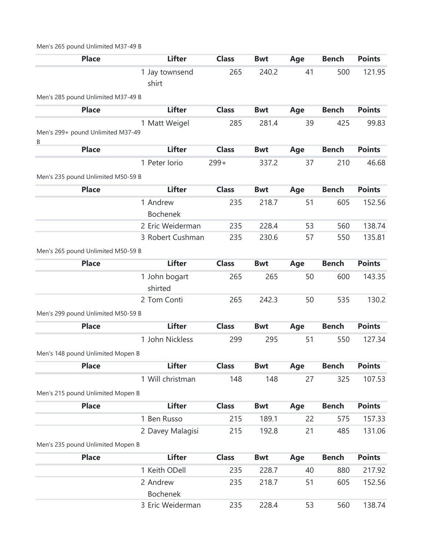## Men's 265 pound Unlimited M37-49 B

| <b>Place</b>                           | <b>Lifter</b>            | <b>Class</b> | <b>Bwt</b> | Age | <b>Bench</b> | <b>Points</b> |
|----------------------------------------|--------------------------|--------------|------------|-----|--------------|---------------|
|                                        | 1 Jay townsend<br>shirt  | 265          | 240.2      | 41  | 500          | 121.95        |
| Men's 285 pound Unlimited M37-49 B     |                          |              |            |     |              |               |
| <b>Place</b>                           | <b>Lifter</b>            | <b>Class</b> | <b>Bwt</b> | Age | <b>Bench</b> | <b>Points</b> |
| Men's 299+ pound Unlimited M37-49<br>В | 1 Matt Weigel            | 285          | 281.4      | 39  | 425          | 99.83         |
| <b>Place</b>                           | <b>Lifter</b>            | <b>Class</b> | <b>Bwt</b> | Age | <b>Bench</b> | <b>Points</b> |
|                                        | 1 Peter Iorio            | $299+$       | 337.2      | 37  | 210          | 46.68         |
| Men's 235 pound Unlimited M50-59 B     |                          |              |            |     |              |               |
| <b>Place</b>                           | <b>Lifter</b>            | <b>Class</b> | <b>Bwt</b> | Age | <b>Bench</b> | <b>Points</b> |
|                                        | 1 Andrew                 | 235          | 218.7      | 51  | 605          | 152.56        |
|                                        | <b>Bochenek</b>          |              |            |     |              |               |
|                                        | 2 Eric Weiderman         | 235          | 228.4      | 53  | 560          | 138.74        |
|                                        | 3 Robert Cushman         | 235          | 230.6      | 57  | 550          | 135.81        |
| Men's 265 pound Unlimited M50-59 B     |                          |              |            |     |              |               |
| <b>Place</b>                           | <b>Lifter</b>            | <b>Class</b> | <b>Bwt</b> | Age | <b>Bench</b> | <b>Points</b> |
|                                        | 1 John bogart<br>shirted | 265          | 265        | 50  | 600          | 143.35        |
|                                        | 2 Tom Conti              | 265          | 242.3      | 50  | 535          | 130.2         |
| Men's 299 pound Unlimited M50-59 B     |                          |              |            |     |              |               |
| <b>Place</b>                           | <b>Lifter</b>            | <b>Class</b> | <b>Bwt</b> | Age | <b>Bench</b> | <b>Points</b> |
|                                        | 1 John Nickless          | 299          | 295        | 51  | 550          | 127.34        |
| Men's 148 pound Unlimited Mopen B      |                          |              |            |     |              |               |
| <b>Place</b>                           | <b>Lifter</b>            | <b>Class</b> | <b>Bwt</b> | Age | <b>Bench</b> | <b>Points</b> |
|                                        | 1 Will christman         | 148          | 148        | 27  | 325          | 107.53        |
| Men's 215 pound Unlimited Mopen B      |                          |              |            |     |              |               |
| <b>Place</b>                           | <b>Lifter</b>            | <b>Class</b> | <b>Bwt</b> | Age | <b>Bench</b> | <b>Points</b> |
|                                        | 1 Ben Russo              | 215          | 189.1      | 22  | 575          | 157.33        |
|                                        | 2 Davey Malagisi         | 215          | 192.8      | 21  | 485          | 131.06        |
| Men's 235 pound Unlimited Mopen B      |                          |              |            |     |              |               |
| <b>Place</b>                           | <b>Lifter</b>            | <b>Class</b> | <b>Bwt</b> | Age | <b>Bench</b> | <b>Points</b> |
|                                        | 1 Keith ODell            | 235          | 228.7      | 40  | 880          | 217.92        |
|                                        | 2 Andrew                 | 235          | 218.7      | 51  | 605          | 152.56        |
|                                        | <b>Bochenek</b>          |              |            |     |              |               |
|                                        | 3 Eric Weiderman         | 235          | 228.4      | 53  | 560          | 138.74        |